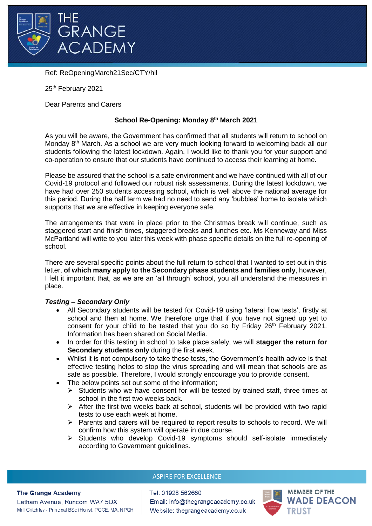

Ref: ReOpeningMarch21Sec/CTY/hll

25<sup>th</sup> February 2021

Dear Parents and Carers

# **School Re-Opening: Monday 8th March 2021**

As you will be aware, the Government has confirmed that all students will return to school on Monday 8<sup>th</sup> March. As a school we are very much looking forward to welcoming back all our students following the latest lockdown. Again, I would like to thank you for your support and co-operation to ensure that our students have continued to access their learning at home.

Please be assured that the school is a safe environment and we have continued with all of our Covid-19 protocol and followed our robust risk assessments. During the latest lockdown, we have had over 250 students accessing school, which is well above the national average for this period. During the half term we had no need to send any 'bubbles' home to isolate which supports that we are effective in keeping everyone safe.

The arrangements that were in place prior to the Christmas break will continue, such as staggered start and finish times, staggered breaks and lunches etc. Ms Kenneway and Miss McPartland will write to you later this week with phase specific details on the full re-opening of school.

There are several specific points about the full return to school that I wanted to set out in this letter, **of which many apply to the Secondary phase students and families only**, however, I felt it important that, as we are an 'all through' school, you all understand the measures in place.

## *Testing – Secondary Only*

- All Secondary students will be tested for Covid-19 using 'lateral flow tests', firstly at school and then at home. We therefore urge that if you have not signed up yet to consent for your child to be tested that you do so by Friday 26<sup>th</sup> February 2021. Information has been shared on Social Media.
- In order for this testing in school to take place safely, we will **stagger the return for Secondary students only** during the first week.
- Whilst it is not compulsory to take these tests, the Government's health advice is that effective testing helps to stop the virus spreading and will mean that schools are as safe as possible. Therefore, I would strongly encourage you to provide consent.
- The below points set out some of the information:
	- $\triangleright$  Students who we have consent for will be tested by trained staff, three times at school in the first two weeks back.
	- $\triangleright$  After the first two weeks back at school, students will be provided with two rapid tests to use each week at home.
	- $\triangleright$  Parents and carers will be required to report results to schools to record. We will confirm how this system will operate in due course.
	- $\triangleright$  Students who develop Covid-19 symptoms should self-isolate immediately according to Government guidelines.

## **ASPIRE FOR EXCELLENCE**

#### **The Grange Academy**

Latham Avenue, Runcom WA7 5DX Mr I Critchley - Principal BSc (Hons), PGCE, MA, NPQH Tel: 01928 562660 Email: info@thegrangeacademy.co.uk Website: thegrangeacademy.co.uk